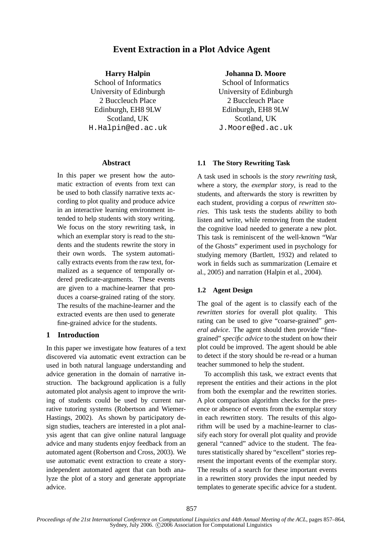# **Event Extraction in a Plot Advice Agent**

### **Harry Halpin**

School of Informatics University of Edinburgh 2 Buccleuch Place Edinburgh, EH8 9LW Scotland, UK H.Halpin@ed.ac.uk

#### **Abstract**

In this paper we present how the automatic extraction of events from text can be used to both classify narrative texts according to plot quality and produce advice in an interactive learning environment intended to help students with story writing. We focus on the story rewriting task, in which an exemplar story is read to the students and the students rewrite the story in their own words. The system automatically extracts events from the raw text, formalized as a sequence of temporally ordered predicate-arguments. These events are given to a machine-learner that produces a coarse-grained rating of the story. The results of the machine-learner and the extracted events are then used to generate fine-grained advice for the students.

## **1 Introduction**

In this paper we investigate how features of a text discovered via automatic event extraction can be used in both natural language understanding and advice generation in the domain of narrative instruction. The background application is a fully automated plot analysis agent to improve the writing of students could be used by current narrative tutoring systems (Robertson and Wiemer-Hastings, 2002). As shown by participatory design studies, teachers are interested in a plot analysis agent that can give online natural language advice and many students enjoy feedback from an automated agent (Robertson and Cross, 2003). We use automatic event extraction to create a storyindependent automated agent that can both analyze the plot of a story and generate appropriate advice.

## **Johanna D. Moore**

School of Informatics University of Edinburgh 2 Buccleuch Place Edinburgh, EH8 9LW Scotland, UK J.Moore@ed.ac.uk

#### **1.1 The Story Rewriting Task**

A task used in schools is the *story rewriting task*, where a story, the *exemplar story*, is read to the students, and afterwards the story is rewritten by each student, providing a corpus of *rewritten stories*. This task tests the students ability to both listen and write, while removing from the student the cognitive load needed to generate a new plot. This task is reminiscent of the well-known "War of the Ghosts" experiment used in psychology for studying memory (Bartlett, 1932) and related to work in fields such as summarization (Lemaire et al., 2005) and narration (Halpin et al., 2004).

#### **1.2 Agent Design**

The goal of the agent is to classify each of the *rewritten stories* for overall plot quality. This rating can be used to give "coarse-grained" *general advice*. The agent should then provide "finegrained" *specific advice* to the student on how their plot could be improved. The agent should be able to detect if the story should be re-read or a human teacher summoned to help the student.

To accomplish this task, we extract events that represent the entities and their actions in the plot from both the exemplar and the rewritten stories. A plot comparison algorithm checks for the presence or absence of events from the exemplar story in each rewritten story. The results of this algorithm will be used by a machine-learner to classify each story for overall plot quality and provide general "canned" advice to the student. The features statistically shared by "excellent" stories represent the important events of the exemplar story. The results of a search for these important events in a rewritten story provides the input needed by templates to generate specific advice for a student.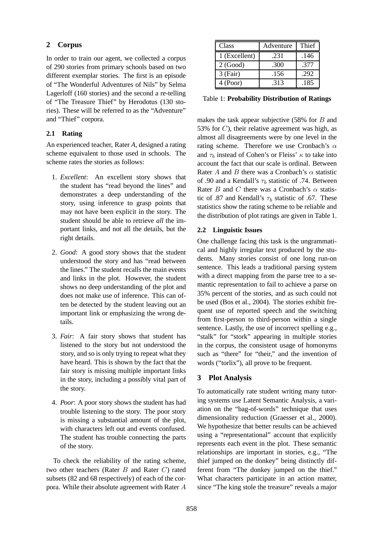# **2 Corpus**

In order to train our agent, we collected a corpus of 290 stories from primary schools based on two different exemplar stories. The first is an episode of "The Wonderful Adventures of Nils" by Selma Lagerloff (160 stories) and the second a re-telling of "The Treasure Thief" by Herodotus (130 stories). These will be referred to as the "Adventure" and "Thief" corpora.

# **2.1 Rating**

An experienced teacher, Rater *A*, designed a rating scheme equivalent to those used in schools. The scheme rates the stories as follows:

- 1. *Excellent*: An excellent story shows that the student has "read beyond the lines" and demonstrates a deep understanding of the story, using inference to grasp points that may not have been explicit in the story. The student should be able to retrieve *all* the important links, and not all the details, but the right details.
- 2. *Good*: A good story shows that the student understood the story and has "read between the lines." The student recalls the main events and links in the plot. However, the student shows no deep understanding of the plot and does not make use of inference. This can often be detected by the student leaving out an important link or emphasizing the wrong details.
- 3. *Fair*: A fair story shows that student has listened to the story but not understood the story, and so is only trying to repeat what they have heard. This is shown by the fact that the fair story is missing multiple important links in the story, including a possibly vital part of the story.
- 4. *Poor*: A poor story shows the student has had trouble listening to the story. The poor story is missing a substantial amount of the plot, with characters left out and events confused. The student has trouble connecting the parts of the story.

To check the reliability of the rating scheme, two other teachers (Rater  $B$  and Rater  $C$ ) rated subsets (82 and 68 respectively) of each of the corpora. While their absolute agreement with Rater A

| Class         | Adventure | Thief |
|---------------|-----------|-------|
| 1 (Excellent) | .231      | .146  |
| 2(Good)       | .300      | .377  |
| $3$ (Fair)    | .156      | .292  |
| 4 (Poor)      | .313      | .185  |

Table 1: **Probability Distribution of Ratings**

makes the task appear subjective  $(58\%$  for B and 53% for  $C$ ), their relative agreement was high, as almost all disagreements were by one level in the rating scheme. Therefore we use Cronbach's  $\alpha$ and  $\tau_b$  instead of Cohen's or Fleiss'  $\kappa$  to take into account the fact that our scale is ordinal. Between Rater A and B there was a Cronbach's  $\alpha$  statistic of .90 and a Kendall's  $\tau_b$  statistic of .74. Between Rater B and C there was a Cronbach's  $\alpha$  statistic of .87 and Kendall's  $\tau_b$  statistic of .67. These statistics show the rating scheme to be reliable and the distribution of plot ratings are given in Table 1.

# **2.2 Linguistic Issues**

One challenge facing this task is the ungrammatical and highly irregular text produced by the students. Many stories consist of one long run-on sentence. This leads a traditional parsing system with a direct mapping from the parse tree to a semantic representation to fail to achieve a parse on 35% percent of the stories, and as such could not be used (Bos et al., 2004). The stories exhibit frequent use of reported speech and the switching from first-person to third-person within a single sentence. Lastly, the use of incorrect spelling e.g., "stalk" for "stork" appearing in multiple stories in the corpus, the consistent usage of homonyms such as "there" for "their," and the invention of words ("torlix"), all prove to be frequent.

# **3 Plot Analysis**

To automatically rate student writing many tutoring systems use Latent Semantic Analysis, a variation on the "bag-of-words" technique that uses dimensionality reduction (Graesser et al., 2000). We hypothesize that better results can be achieved using a "representational" account that explicitly represents each event in the plot. These semantic relationships are important in stories, e.g., "The thief jumped on the donkey" being distinctly different from "The donkey jumped on the thief." What characters participate in an action matter, since "The king stole the treasure" reveals a major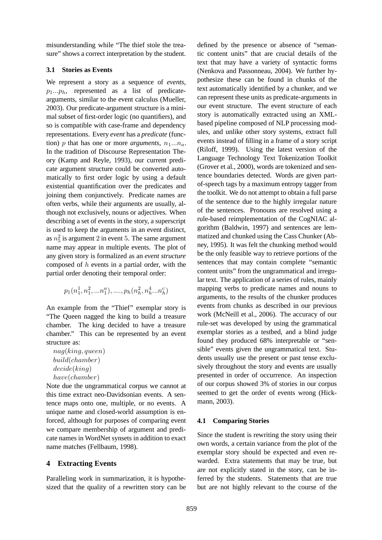misunderstanding while "The thief stole the treasure" shows a correct interpretation by the student.

# **3.1 Stories as Events**

We represent a story as a sequence of *events*,  $p_1...p_h$ , represented as a list of predicatearguments, similar to the event calculus (Mueller, 2003). Our predicate-argument structure is a minimal subset of first-order logic (no quantifiers), and so is compatible with case-frame and dependency representations. Every *event* has a *predicate* (function) p that has one or more *arguments*,  $n_1...n_a$ . In the tradition of Discourse Representation Theory (Kamp and Reyle, 1993), our current predicate argument structure could be converted automatically to first order logic by using a default existential quantification over the predicates and joining them conjunctively. Predicate names are often verbs, while their arguments are usually, although not exclusively, nouns or adjectives. When describing a set of events in the story, a superscript is used to keep the arguments in an event distinct, as  $n_5^2$  is argument 2 in event 5. The same argument name may appear in multiple events. The plot of any given story is formalized as an *event structure* composed of h events in a partial order, with the partial order denoting their temporal order:

$$
p_1(n_1^1, n_1^2, \ldots, n_1^a), \ldots, p_h(n_h^2, n_h^4, \ldots, n_h^c)
$$

An example from the "Thief" exemplar story is "The Queen nagged the king to build a treasure chamber. The king decided to have a treasure chamber." This can be represented by an event structure as:

nag(king, queen) build(chamber) decide(king) have(chamber)

Note due the ungrammatical corpus we cannot at this time extract neo-Davidsonian events. A sentence maps onto one, multiple, or no events. A unique name and closed-world assumption is enforced, although for purposes of comparing event we compare membership of argument and predicate names in WordNet synsets in addition to exact name matches (Fellbaum, 1998).

# **4 Extracting Events**

Paralleling work in summarization, it is hypothesized that the quality of a rewritten story can be

defined by the presence or absence of "semantic content units" that are crucial details of the text that may have a variety of syntactic forms (Nenkova and Passonneau, 2004). We further hypothesize these can be found in chunks of the text automatically identified by a chunker, and we can represent these units as predicate-arguments in our event structure. The event structure of each story is automatically extracted using an XMLbased pipeline composed of NLP processing modules, and unlike other story systems, extract full events instead of filling in a frame of a story script (Riloff, 1999). Using the latest version of the Language Technology Text Tokenization Toolkit (Grover et al., 2000), words are tokenized and sentence boundaries detected. Words are given partof-speech tags by a maximum entropy tagger from the toolkit. We do not attempt to obtain a full parse of the sentence due to the highly irregular nature of the sentences. Pronouns are resolved using a rule-based reimplementation of the CogNIAC algorithm (Baldwin, 1997) and sentences are lemmatized and chunked using the Cass Chunker (Abney, 1995). It was felt the chunking method would be the only feasible way to retrieve portions of the sentences that may contain complete "semantic content units" from the ungrammatical and irregular text. The application of a series of rules, mainly mapping verbs to predicate names and nouns to arguments, to the results of the chunker produces events from chunks as described in our previous work (McNeill et al., 2006). The accuracy of our rule-set was developed by using the grammatical exemplar stories as a testbed, and a blind judge found they produced 68% interpretable or "sensible" events given the ungrammatical text. Students usually use the present or past tense exclusively throughout the story and events are usually presented in order of occurrence. An inspection of our corpus showed 3% of stories in our corpus seemed to get the order of events wrong (Hickmann, 2003).

# **4.1 Comparing Stories**

Since the student is rewriting the story using their own words, a certain variance from the plot of the exemplar story should be expected and even rewarded. Extra statements that may be true, but are not explicitly stated in the story, can be inferred by the students. Statements that are true but are not highly relevant to the course of the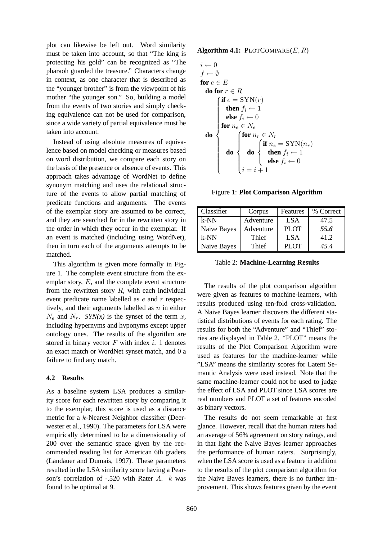plot can likewise be left out. Word similarity must be taken into account, so that "The king is protecting his gold" can be recognized as "The pharaoh guarded the treasure." Characters change in context, as one character that is described as the "younger brother" is from the viewpoint of his mother "the younger son." So, building a model from the events of two stories and simply checking equivalence can not be used for comparison, since a wide variety of partial equivalence must be taken into account.

Instead of using absolute measures of equivalence based on model checking or measures based on word distribution, we compare each story on the basis of the presence or absence of events. This approach takes advantage of WordNet to define synonym matching and uses the relational structure of the events to allow partial matching of predicate functions and arguments. The events of the exemplar story are assumed to be correct, and they are searched for in the rewritten story in the order in which they occur in the exemplar. If an event is matched (including using WordNet), then in turn each of the arguments attempts to be matched.

This algorithm is given more formally in Figure 1. The complete event structure from the exemplar story,  $E$ , and the complete event structure from the rewritten story  $R$ , with each individual event predicate name labelled as e and r respectively, and their arguments labelled as  $n$  in either  $N_e$  and  $N_r$ . *SYN(x)* is the synset of the term x, including hypernyms and hyponyms except upper ontology ones. The results of the algorithm are stored in binary vector  $F$  with index  $i$ . 1 denotes an exact match or WordNet synset match, and 0 a failure to find any match.

## **4.2 Results**

As a baseline system LSA produces a similarity score for each rewritten story by comparing it to the exemplar, this score is used as a distance metric for a k-Nearest Neighbor classifier (Deerwester et al., 1990). The parameters for LSA were empirically determined to be a dimensionality of 200 over the semantic space given by the recommended reading list for American 6th graders (Landauer and Dumais, 1997). These parameters resulted in the LSA similarity score having a Pearson's correlation of -.520 with Rater A. k was found to be optimal at 9.

**Algorithm 4.1:** PLOTCOMPARE $(E, R)$ 

$$
i \leftarrow 0
$$
\n
$$
f \leftarrow \emptyset
$$
\n
$$
f \leftarrow \emptyset
$$
\n
$$
f \leftarrow \emptyset
$$
\n
$$
f \leftarrow \emptyset
$$
\n
$$
f \leftarrow \emptyset
$$
\n
$$
f \leftarrow f
$$
\n
$$
f \leftarrow 0
$$
\n
$$
f \leftarrow 0
$$
\n
$$
f \leftarrow 0
$$
\n
$$
f \leftarrow 0
$$
\n
$$
f \leftarrow 0
$$
\n
$$
f \leftarrow 0
$$
\n
$$
f \leftarrow 0
$$
\n
$$
f \leftarrow f \leftarrow 0
$$
\n
$$
f \leftarrow f \leftarrow f
$$
\n
$$
f \leftarrow f \leftarrow f
$$
\n
$$
f \leftarrow f \leftarrow f
$$
\n
$$
f \leftarrow f \leftarrow f
$$
\n
$$
f \leftarrow f \leftarrow f
$$
\n
$$
f \leftarrow f \leftarrow f
$$
\n
$$
f \leftarrow f \leftarrow f
$$
\n
$$
f \leftarrow f \leftarrow f
$$
\n
$$
f \leftarrow f \leftarrow f
$$
\n
$$
f \leftarrow f \leftarrow f
$$
\n
$$
f \leftarrow f \leftarrow f
$$
\n
$$
f \leftarrow f \leftarrow f
$$

Figure 1: **Plot Comparison Algorithm**

| Classifier  | Corpus    | Features    | % Correct |
|-------------|-----------|-------------|-----------|
| $k-NN$      | Adventure | <b>LSA</b>  | 47.5      |
| Naive Bayes | Adventure | <b>PLOT</b> | 55.6      |
| $k-NN$      | Thief     | <b>LSA</b>  | 41.2      |
| Naive Bayes | Thief     | <b>PLOT</b> | 45.4      |

Table 2: **Machine-Learning Results**

The results of the plot comparison algorithm were given as features to machine-learners, with results produced using ten-fold cross-validation. A Naive Bayes learner discovers the different statistical distributions of events for each rating. The results for both the "Adventure" and "Thief" stories are displayed in Table 2. "PLOT" means the results of the Plot Comparison Algorithm were used as features for the machine-learner while "LSA" means the similarity scores for Latent Semantic Analysis were used instead. Note that the same machine-learner could not be used to judge the effect of LSA and PLOT since LSA scores are real numbers and PLOT a set of features encoded as binary vectors.

The results do not seem remarkable at first glance. However, recall that the human raters had an average of 56% agreement on story ratings, and in that light the Naive Bayes learner approaches the performance of human raters. Surprisingly, when the LSA score is used as a feature in addition to the results of the plot comparison algorithm for the Naive Bayes learners, there is no further improvement. This shows features given by the event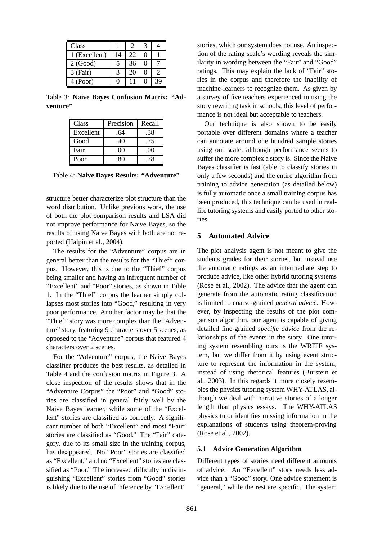| Class         |                   |    |   |    |
|---------------|-------------------|----|---|----|
| 1 (Excellent) | 14                | 22 |   |    |
| 2(Good)       |                   | 36 | 0 |    |
| $3$ (Fair)    |                   | 20 |   |    |
| 4 (Poor)      | $\mathbf{\Omega}$ |    |   | 39 |

Table 3: **Naive Bayes Confusion Matrix: "Adventure"**

| Class     | Precision | Recall |
|-----------|-----------|--------|
| Excellent | .64       | .38    |
| Good      | .40       | .75    |
| Fair      | .00       | .00    |
| Poor      | -80       | -78    |

Table 4: **Naive Bayes Results: "Adventure"**

structure better characterize plot structure than the word distribution. Unlike previous work, the use of both the plot comparison results and LSA did not improve performance for Naive Bayes, so the results of using Naive Bayes with both are not reported (Halpin et al., 2004).

The results for the "Adventure" corpus are in general better than the results for the "Thief" corpus. However, this is due to the "Thief" corpus being smaller and having an infrequent number of "Excellent" and "Poor" stories, as shown in Table 1. In the "Thief" corpus the learner simply collapses most stories into "Good," resulting in very poor performance. Another factor may be that the "Thief" story was more complex than the "Adventure" story, featuring 9 characters over 5 scenes, as opposed to the "Adventure" corpus that featured 4 characters over 2 scenes.

For the "Adventure" corpus, the Naive Bayes classifier produces the best results, as detailed in Table 4 and the confusion matrix in Figure 3. A close inspection of the results shows that in the "Adventure Corpus" the "Poor" and "Good" stories are classified in general fairly well by the Naive Bayes learner, while some of the "Excellent" stories are classified as correctly. A significant number of both "Excellent" and most "Fair" stories are classified as "Good." The "Fair" category, due to its small size in the training corpus, has disappeared. No "Poor" stories are classified as "Excellent," and no "Excellent" stories are classified as "Poor." The increased difficulty in distinguishing "Excellent" stories from "Good" stories is likely due to the use of inference by "Excellent"

stories, which our system does not use. An inspection of the rating scale's wording reveals the similarity in wording between the "Fair" and "Good" ratings. This may explain the lack of "Fair" stories in the corpus and therefore the inability of machine-learners to recognize them. As given by a survey of five teachers experienced in using the story rewriting task in schools, this level of performance is not ideal but acceptable to teachers.

Our technique is also shown to be easily portable over different domains where a teacher can annotate around one hundred sample stories using our scale, although performance seems to suffer the more complex a story is. Since the Naive Bayes classifier is fast (able to classify stories in only a few seconds) and the entire algorithm from training to advice generation (as detailed below) is fully automatic once a small training corpus has been produced, this technique can be used in reallife tutoring systems and easily ported to other stories.

### **5 Automated Advice**

The plot analysis agent is not meant to give the students grades for their stories, but instead use the automatic ratings as an intermediate step to produce advice, like other hybrid tutoring systems (Rose et al., 2002). The advice that the agent can generate from the automatic rating classification is limited to coarse-grained *general advice*. However, by inspecting the results of the plot comparison algorithm, our agent is capable of giving detailed fine-grained *specific advice* from the relationships of the events in the story. One tutoring system resembling ours is the WRITE system, but we differ from it by using event structure to represent the information in the system, instead of using rhetorical features (Burstein et al., 2003). In this regards it more closely resembles the physics tutoring system WHY-ATLAS, although we deal with narrative stories of a longer length than physics essays. The WHY-ATLAS physics tutor identifies missing information in the explanations of students using theorem-proving (Rose et al., 2002).

### **5.1 Advice Generation Algorithm**

Different types of stories need different amounts of advice. An "Excellent" story needs less advice than a "Good" story. One advice statement is "general," while the rest are specific. The system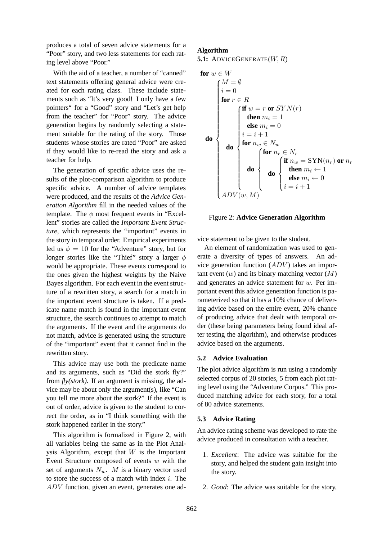produces a total of seven advice statements for a "Poor" story, and two less statements for each rating level above "Poor."

With the aid of a teacher, a number of "canned" text statements offering general advice were created for each rating class. These include statements such as "It's very good! I only have a few pointers" for a "Good" story and "Let's get help from the teacher" for "Poor" story. The advice generation begins by randomly selecting a statement suitable for the rating of the story. Those students whose stories are rated "Poor" are asked if they would like to re-read the story and ask a teacher for help.

The generation of specific advice uses the results of the plot-comparison algorithm to produce specific advice. A number of advice templates were produced, and the results of the *Advice Generation Algorithm* fill in the needed values of the template. The  $\phi$  most frequent events in "Excellent" stories are called the *Important Event Structure*, which represents the "important" events in the story in temporal order. Empirical experiments led us  $\phi = 10$  for the "Adventure" story, but for longer stories like the "Thief" story a larger  $\phi$ would be appropriate. These events correspond to the ones given the highest weights by the Naive Bayes algorithm. For each event in the event structure of a rewritten story, a search for a match in the important event structure is taken. If a predicate name match is found in the important event structure, the search continues to attempt to match the arguments. If the event and the arguments do not match, advice is generated using the structure of the "important" event that it cannot find in the rewritten story.

This advice may use both the predicate name and its arguments, such as "Did the stork fly?" from *fly(stork)*. If an argument is missing, the advice may be about only the argument(s), like "Can you tell me more about the stork?" If the event is out of order, advice is given to the student to correct the order, as in "I think something with the stork happened earlier in the story."

This algorithm is formalized in Figure 2, with all variables being the same as in the Plot Analysis Algorithm, except that  $W$  is the Important Event Structure composed of events  $w$  with the set of arguments  $N_w$ . M is a binary vector used to store the success of a match with index  $i$ . The ADV function, given an event, generates one ad-

## **Algorithm**

**5.1:** ADVICEGENERATE(W, R)

$$
\text{for } w \in W
$$
\n
$$
\text{for } v \in R
$$
\n
$$
\text{for } r \in R
$$
\n
$$
\text{then } m_i = 1
$$
\n
$$
\text{else } m_i = 0
$$
\n
$$
\text{do } \begin{cases}\n\text{if } w = r \text{ or } SYN(r) \\
\text{then } m_i = 1 \\
\text{else } m_i = 0 \\
i = i + 1 \\
\text{for } n_w \in N_w \\
\text{do } \begin{cases}\n\text{for } n_r \in N_r \\
\text{for } n_w = SYN(n_r) \text{ or } n_r \\
\text{then } m_i \leftarrow 1 \\
\text{then } m_i \leftarrow 1 \\
\text{else } m_i \leftarrow 0 \\
i = i + 1\n\end{cases}\n\end{cases}
$$

#### Figure 2: **Advice Generation Algorithm**

vice statement to be given to the student.

An element of randomization was used to generate a diversity of types of answers. An advice generation function  $(ADV)$  takes an important event  $(w)$  and its binary matching vector  $(M)$ and generates an advice statement for w. Per important event this advice generation function is parameterized so that it has a 10% chance of delivering advice based on the entire event, 20% chance of producing advice that dealt with temporal order (these being parameters being found ideal after testing the algorithm), and otherwise produces advice based on the arguments.

### **5.2 Advice Evaluation**

The plot advice algorithm is run using a randomly selected corpus of 20 stories, 5 from each plot rating level using the "Adventure Corpus." This produced matching advice for each story, for a total of 80 advice statements.

### **5.3 Advice Rating**

An advice rating scheme was developed to rate the advice produced in consultation with a teacher.

- 1. *Excellent*: The advice was suitable for the story, and helped the student gain insight into the story.
- 2. *Good*: The advice was suitable for the story,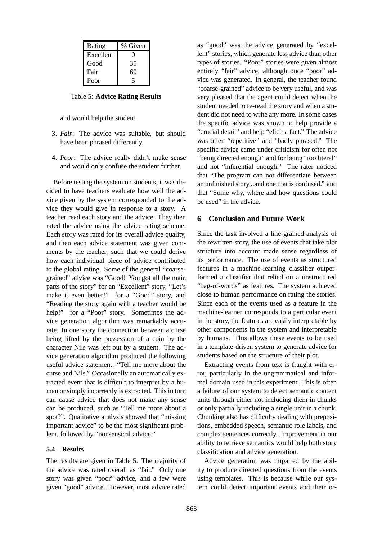| Rating    | % Given |
|-----------|---------|
| Excellent |         |
| Good      | 35      |
| Fair      | 60      |
| Poor      |         |

Table 5: **Advice Rating Results**

and would help the student.

- 3. *Fair*: The advice was suitable, but should have been phrased differently.
- 4. *Poor*: The advice really didn't make sense and would only confuse the student further.

Before testing the system on students, it was decided to have teachers evaluate how well the advice given by the system corresponded to the advice they would give in response to a story. A teacher read each story and the advice. They then rated the advice using the advice rating scheme. Each story was rated for its overall advice quality, and then each advice statement was given comments by the teacher, such that we could derive how each individual piece of advice contributed to the global rating. Some of the general "coarsegrained" advice was "Good! You got all the main parts of the story" for an "Excellent" story, "Let's make it even better!" for a "Good" story, and "Reading the story again with a teacher would be help!" for a "Poor" story. Sometimes the advice generation algorithm was remarkably accurate. In one story the connection between a curse being lifted by the possession of a coin by the character Nils was left out by a student. The advice generation algorithm produced the following useful advice statement: "Tell me more about the curse and Nils." Occasionally an automatically extracted event that is difficult to interpret by a human or simply incorrectly is extracted. This in turn can cause advice that does not make any sense can be produced, such as "Tell me more about a spot?". Qualitative analysis showed that "missing important advice" to be the most significant problem, followed by "nonsensical advice."

### **5.4 Results**

The results are given in Table 5. The majority of the advice was rated overall as "fair." Only one story was given "poor" advice, and a few were given "good" advice. However, most advice rated

as "good" was the advice generated by "excellent" stories, which generate less advice than other types of stories. "Poor" stories were given almost entirely "fair" advice, although once "poor" advice was generated. In general, the teacher found "coarse-grained" advice to be very useful, and was very pleased that the agent could detect when the student needed to re-read the story and when a student did not need to write any more. In some cases the specific advice was shown to help provide a "crucial detail" and help "elicit a fact." The advice was often "repetitive" and "badly phrased." The specific advice came under criticism for often not "being directed enough" and for being "too literal" and not "inferential enough." The rater noticed that "The program can not differentiate between an unfinished story...and one that is confused." and that "Some why, where and how questions could be used" in the advice.

### **6 Conclusion and Future Work**

Since the task involved a fine-grained analysis of the rewritten story, the use of events that take plot structure into account made sense regardless of its performance. The use of events as structured features in a machine-learning classifier outperformed a classifier that relied on a unstructured "bag-of-words" as features. The system achieved close to human performance on rating the stories. Since each of the events used as a feature in the machine-learner corresponds to a particular event in the story, the features are easily interpretable by other components in the system and interpretable by humans. This allows these events to be used in a template-driven system to generate advice for students based on the structure of their plot.

Extracting events from text is fraught with error, particularly in the ungrammatical and informal domain used in this experiment. This is often a failure of our system to detect semantic content units through either not including them in chunks or only partially including a single unit in a chunk. Chunking also has difficulty dealing with prepositions, embedded speech, semantic role labels, and complex sentences correctly. Improvement in our ability to retrieve semantics would help both story classification and advice generation.

Advice generation was impaired by the ability to produce directed questions from the events using templates. This is because while our system could detect important events and their or